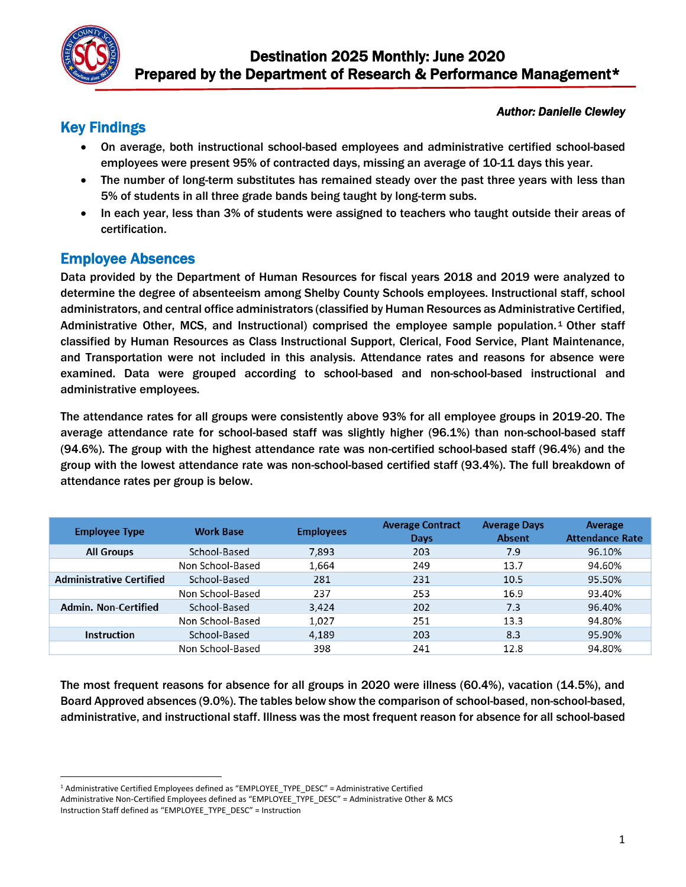

#### *Author: Danielle Clewley*

# Key Findings

- On average, both instructional school-based employees and administrative certified school-based employees were present 95% of contracted days, missing an average of 10-11 days this year.
- The number of long-term substitutes has remained steady over the past three years with less than 5% of students in all three grade bands being taught by long-term subs.
- In each year, less than 3% of students were assigned to teachers who taught outside their areas of certification.

## Employee Absences

l

Data provided by the Department of Human Resources for fiscal years 2018 and 2019 were analyzed to determine the degree of absenteeism among Shelby County Schools employees. Instructional staff, school administrators, and central office administrators (classified by Human Resources as Administrative Certified, Administrative Other, MCS, and Instructional) comprised the employee sample population. <sup>1</sup> Other staff classified by Human Resources as Class Instructional Support, Clerical, Food Service, Plant Maintenance, and Transportation were not included in this analysis. Attendance rates and reasons for absence were examined. Data were grouped according to school-based and non-school-based instructional and administrative employees.

The attendance rates for all groups were consistently above 93% for all employee groups in 2019-20. The average attendance rate for school-based staff was slightly higher (96.1%) than non-school-based staff (94.6%). The group with the highest attendance rate was non-certified school-based staff (96.4%) and the group with the lowest attendance rate was non-school-based certified staff (93.4%). The full breakdown of attendance rates per group is below.

| <b>Employee Type</b>            | <b>Work Base</b> | <b>Employees</b> | <b>Average Contract</b><br>Days | <b>Average Days</b><br><b>Absent</b> | Average<br><b>Attendance Rate</b> |
|---------------------------------|------------------|------------------|---------------------------------|--------------------------------------|-----------------------------------|
| <b>All Groups</b>               | School-Based     | 7,893            | 203                             | 7.9                                  | 96.10%                            |
|                                 | Non School-Based | 1.664            | 249                             | 13.7                                 | 94.60%                            |
| <b>Administrative Certified</b> | School-Based     | 281              | 231                             | 10.5                                 | 95.50%                            |
|                                 | Non School-Based | 237              | 253                             | 16.9                                 | 93.40%                            |
| Admin, Non-Certified            | School-Based     | 3.424            | 202                             | 7.3                                  | 96.40%                            |
|                                 | Non School-Based | 1,027            | 251                             | 13.3                                 | 94.80%                            |
| <b>Instruction</b>              | School-Based     | 4.189            | 203                             | 8.3                                  | 95.90%                            |
|                                 | Non School-Based | 398              | 241                             | 12.8                                 | 94.80%                            |

The most frequent reasons for absence for all groups in 2020 were illness (60.4%), vacation (14.5%), and Board Approved absences (9.0%). The tables below show the comparison of school-based, non-school-based, administrative, and instructional staff. Illness was the most frequent reason for absence for all school-based

<sup>1</sup> Administrative Certified Employees defined as "EMPLOYEE\_TYPE\_DESC" = Administrative Certified

Administrative Non-Certified Employees defined as "EMPLOYEE\_TYPE\_DESC" = Administrative Other & MCS Instruction Staff defined as "EMPLOYEE\_TYPE\_DESC" = Instruction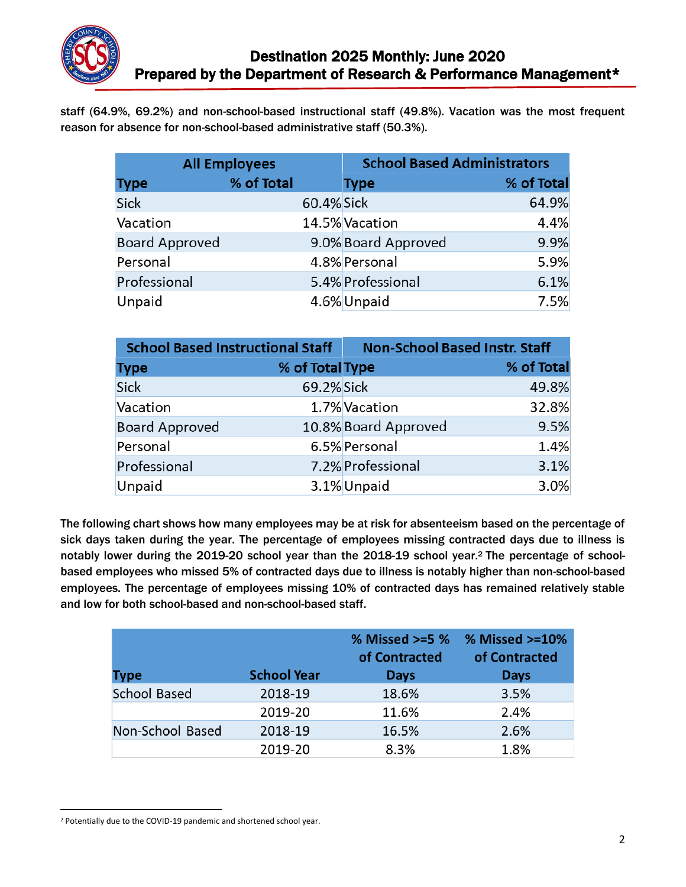

staff (64.9%, 69.2%) and non-school-based instructional staff (49.8%). Vacation was the most frequent reason for absence for non-school-based administrative staff (50.3%).

| <b>All Employees</b>  |            |            | <b>School Based Administrators</b> |            |
|-----------------------|------------|------------|------------------------------------|------------|
| <b>Type</b>           | % of Total |            | <b>Type</b>                        | % of Total |
| <b>Sick</b>           |            | 60.4% Sick |                                    | 64.9%      |
| Vacation              |            |            | 14.5% Vacation                     | 4.4%       |
| <b>Board Approved</b> |            |            | 9.0% Board Approved                | 9.9%       |
| Personal              |            |            | 4.8% Personal                      | 5.9%       |
| Professional          |            |            | 5.4% Professional                  | 6.1%       |
| Unpaid                |            |            | 4.6% Unpaid                        | 7.5%       |

| <b>School Based Instructional Staff</b> |                 | <b>Non-School Based Instr. Staff</b> |            |
|-----------------------------------------|-----------------|--------------------------------------|------------|
| <b>Type</b>                             | % of Total Type |                                      | % of Total |
| Sick                                    | 69.2% Sick      |                                      | 49.8%      |
| Vacation                                |                 | 1.7% Vacation                        | 32.8%      |
| <b>Board Approved</b>                   |                 | 10.8% Board Approved                 | 9.5%       |
| Personal                                |                 | 6.5% Personal                        | 1.4%       |
| Professional                            |                 | 7.2% Professional                    | 3.1%       |
| Unpaid                                  |                 | 3.1% Unpaid                          | 3.0%       |

The following chart shows how many employees may be at risk for absenteeism based on the percentage of sick days taken during the year. The percentage of employees missing contracted days due to illness is notably lower during the 2019-20 school year than the 2018-19 school year.<sup>2</sup> The percentage of schoolbased employees who missed 5% of contracted days due to illness is notably higher than non-school-based employees. The percentage of employees missing 10% of contracted days has remained relatively stable and low for both school-based and non-school-based staff.

| <b>Type</b>         | <b>School Year</b> | % Missed >=5 %<br>of Contracted<br><b>Days</b> | % Missed $>=10%$<br>of Contracted<br><b>Days</b> |
|---------------------|--------------------|------------------------------------------------|--------------------------------------------------|
| <b>School Based</b> | 2018-19            | 18.6%                                          | 3.5%                                             |
|                     | 2019-20            | 11.6%                                          | 2.4%                                             |
| Non-School Based    | 2018-19            | 16.5%                                          | 2.6%                                             |
|                     | 2019-20            | 8.3%                                           | 1.8%                                             |

l

<sup>2</sup> Potentially due to the COVID-19 pandemic and shortened school year.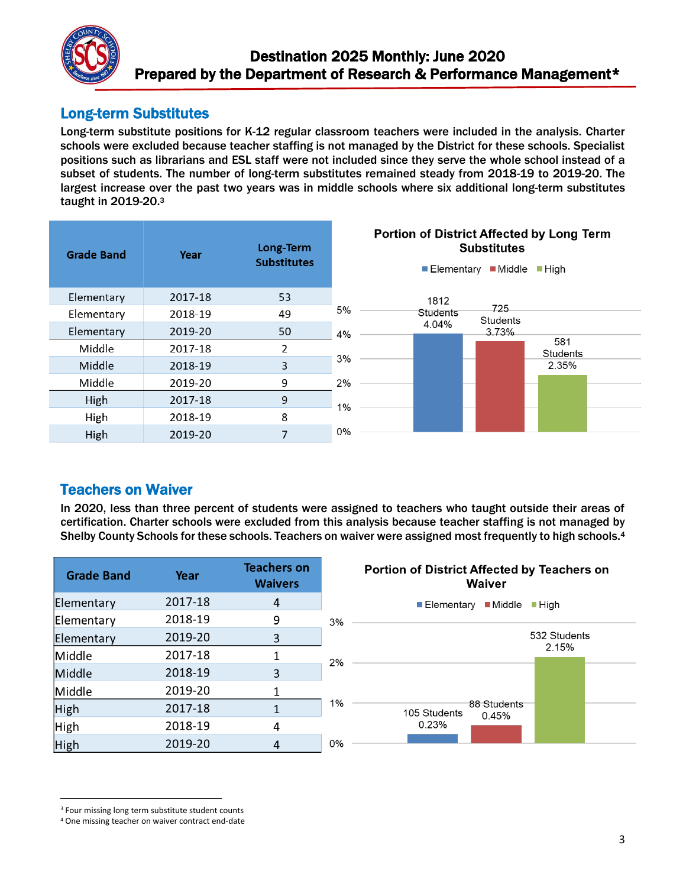

## Long-term Substitutes

Long-term substitute positions for K-12 regular classroom teachers were included in the analysis. Charter schools were excluded because teacher staffing is not managed by the District for these schools. Specialist positions such as librarians and ESL staff were not included since they serve the whole school instead of a subset of students. The number of long-term substitutes remained steady from 2018-19 to 2019-20. The largest increase over the past two years was in middle schools where six additional long-term substitutes taught in 2019-20.<sup>3</sup>

| <b>Grade Band</b> | Year    | Long-Term<br><b>Substitutes</b> | Portion of District Affected by Long Term<br><b>Substitutes</b><br>$\blacksquare$ Middle<br>$\blacksquare$ High<br>$\blacksquare$ Elementary |
|-------------------|---------|---------------------------------|----------------------------------------------------------------------------------------------------------------------------------------------|
| Elementary        | 2017-18 | 53                              |                                                                                                                                              |
| Elementary        | 2018-19 | 49                              | 1812<br>725<br>5%<br><b>Students</b><br><b>Students</b>                                                                                      |
| Elementary        | 2019-20 | 50                              | 4.04%<br>3.73%<br>4%                                                                                                                         |
| Middle            | 2017-18 | 2                               | 581<br><b>Students</b>                                                                                                                       |
| Middle            | 2018-19 | 3                               | 3%<br>2.35%                                                                                                                                  |
| Middle            | 2019-20 | 9                               | 2%                                                                                                                                           |
| High              | 2017-18 | 9                               | 1%                                                                                                                                           |
| High              | 2018-19 | 8                               |                                                                                                                                              |
| High              | 2019-20 | 7                               | 0%                                                                                                                                           |

## Teachers on Waiver

In 2020, less than three percent of students were assigned to teachers who taught outside their areas of certification. Charter schools were excluded from this analysis because teacher staffing is not managed by Shelby County Schools for these schools. Teachers on waiver were assigned most frequently to high schools.<sup>4</sup>

 $0%$ 

| <b>Grade Band</b> | Year    | <b>Teachers on</b><br><b>Waivers</b> |
|-------------------|---------|--------------------------------------|
| Elementary        | 2017-18 | 4                                    |
| Elementary        | 2018-19 | 9                                    |
| Elementary        | 2019-20 | 3                                    |
| Middle            | 2017-18 | 1                                    |
| Middle            | 2018-19 | 3                                    |
| Middle            | 2019-20 | 1                                    |
| High              | 2017-18 | 1                                    |
| High              | 2018-19 |                                      |
| High              | 2019-20 |                                      |



#### $\overline{a}$ <sup>3</sup> Four missing long term substitute student counts

<sup>4</sup> One missing teacher on waiver contract end-date